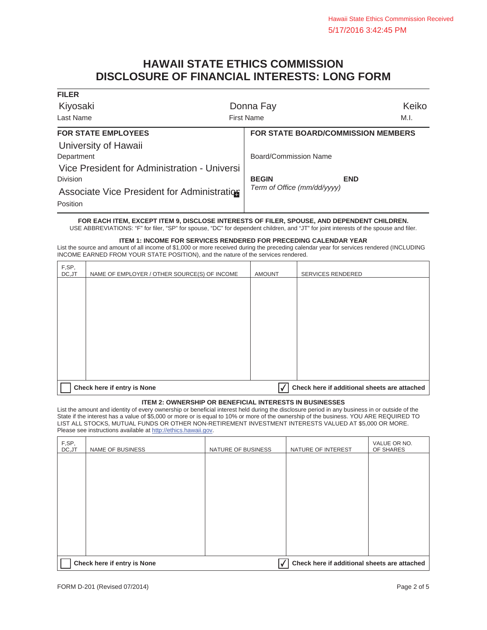## **HAWAII STATE ETHICS COMMISSION DISCLOSURE OF FINANCIAL INTERESTS: LONG FORM**

| <b>FILER</b>                                 |                                           |
|----------------------------------------------|-------------------------------------------|
| Kiyosaki                                     | Keiko<br>Donna Fay                        |
| Last Name                                    | <b>First Name</b><br>M.I.                 |
| <b>FOR STATE EMPLOYEES</b>                   | <b>FOR STATE BOARD/COMMISSION MEMBERS</b> |
| University of Hawaii                         |                                           |
| Department                                   | Board/Commission Name                     |
| Vice President for Administration - Universi |                                           |
| <b>Division</b>                              | <b>BEGIN</b><br><b>END</b>                |
| Associate Vice President for Administration  | Term of Office (mm/dd/yyyy)               |
| Position                                     |                                           |

**FOR EACH ITEM, EXCEPT ITEM 9, DISCLOSE INTERESTS OF FILER, SPOUSE, AND DEPENDENT CHILDREN.**  USE ABBREVIATIONS: "F" for filer, "SP" for spouse, "DC" for dependent children, and "JT" for joint interests of the spouse and filer.

#### **ITEM 1: INCOME FOR SERVICES RENDERED FOR PRECEDING CALENDAR YEAR**

List the source and amount of all income of \$1,000 or more received during the preceding calendar year for services rendered (INCLUDING INCOME EARNED FROM YOUR STATE POSITION), and the nature of the services rendered.

| F,SP,<br>DC,JT | NAME OF EMPLOYER / OTHER SOURCE(S) OF INCOME | <b>AMOUNT</b> | SERVICES RENDERED                            |
|----------------|----------------------------------------------|---------------|----------------------------------------------|
|                |                                              |               |                                              |
|                |                                              |               |                                              |
|                |                                              |               |                                              |
|                |                                              |               |                                              |
|                |                                              |               |                                              |
|                |                                              |               |                                              |
|                |                                              |               |                                              |
|                | Check here if entry is None                  |               | Check here if additional sheets are attached |

### **ITEM 2: OWNERSHIP OR BENEFICIAL INTERESTS IN BUSINESSES**

List the amount and identity of every ownership or beneficial interest held during the disclosure period in any business in or outside of the State if the interest has a value of \$5,000 or more or is equal to 10% or more of the ownership of the business. YOU ARE REQUIRED TO LIST ALL STOCKS, MUTUAL FUNDS OR OTHER NON-RETIREMENT INVESTMENT INTERESTS VALUED AT \$5,000 OR MORE. Please see instructions available at http://ethics.hawaii.gov.

| F,SP,<br>DC, JT | NAME OF BUSINESS                                                            | NATURE OF BUSINESS | NATURE OF INTEREST | VALUE OR NO.<br>OF SHARES |
|-----------------|-----------------------------------------------------------------------------|--------------------|--------------------|---------------------------|
|                 |                                                                             |                    |                    |                           |
|                 |                                                                             |                    |                    |                           |
|                 |                                                                             |                    |                    |                           |
|                 |                                                                             |                    |                    |                           |
|                 |                                                                             |                    |                    |                           |
|                 |                                                                             |                    |                    |                           |
|                 |                                                                             |                    |                    |                           |
|                 | Check here if additional sheets are attached<br>Check here if entry is None |                    |                    |                           |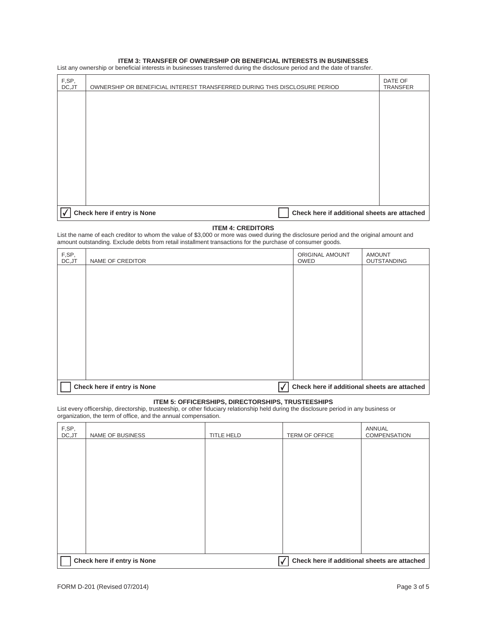#### **ITEM 3: TRANSFER OF OWNERSHIP OR BENEFICIAL INTERESTS IN BUSINESSES**

List any ownership or beneficial interests in businesses transferred during the disclosure period and the date of transfer.

| F,SP,<br>DC, JT | OWNERSHIP OR BENEFICIAL INTEREST TRANSFERRED DURING THIS DISCLOSURE PERIOD  | DATE OF<br><b>TRANSFER</b> |
|-----------------|-----------------------------------------------------------------------------|----------------------------|
|                 |                                                                             |                            |
|                 |                                                                             |                            |
|                 |                                                                             |                            |
|                 |                                                                             |                            |
|                 |                                                                             |                            |
|                 |                                                                             |                            |
|                 |                                                                             |                            |
|                 | Check here if entry is None<br>Check here if additional sheets are attached |                            |

#### **ITEM 4: CREDITORS**

List the name of each creditor to whom the value of \$3,000 or more was owed during the disclosure period and the original amount and amount outstanding. Exclude debts from retail installment transactions for the purchase of consumer goods.

| F,SP,<br>DC, JT | NAME OF CREDITOR                                                                 | ORIGINAL AMOUNT<br><b>OWED</b> | <b>AMOUNT</b><br>OUTSTANDING |
|-----------------|----------------------------------------------------------------------------------|--------------------------------|------------------------------|
|                 |                                                                                  |                                |                              |
|                 |                                                                                  |                                |                              |
|                 |                                                                                  |                                |                              |
|                 |                                                                                  |                                |                              |
|                 |                                                                                  |                                |                              |
|                 |                                                                                  |                                |                              |
|                 |                                                                                  |                                |                              |
|                 | Check here if entry is None<br>Check here if additional sheets are attached<br>√ |                                |                              |

#### **ITEM 5: OFFICERSHIPS, DIRECTORSHIPS, TRUSTEESHIPS**

List every officership, directorship, trusteeship, or other fiduciary relationship held during the disclosure period in any business or organization, the term of office, and the annual compensation.

| F,SP,<br>DC, JT | NAME OF BUSINESS            | TITLE HELD | TERM OF OFFICE                                    | ANNUAL<br>COMPENSATION |
|-----------------|-----------------------------|------------|---------------------------------------------------|------------------------|
|                 |                             |            |                                                   |                        |
|                 |                             |            |                                                   |                        |
|                 |                             |            |                                                   |                        |
|                 |                             |            |                                                   |                        |
|                 |                             |            |                                                   |                        |
|                 |                             |            |                                                   |                        |
|                 |                             |            |                                                   |                        |
|                 | Check here if entry is None |            | Check here if additional sheets are attached<br>√ |                        |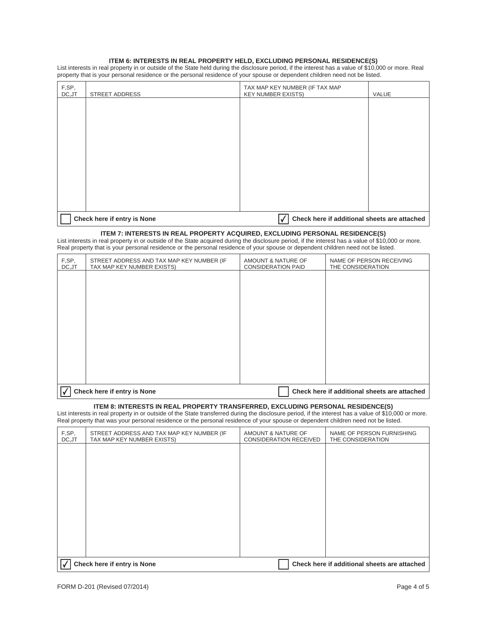#### **ITEM 6: INTERESTS IN REAL PROPERTY HELD, EXCLUDING PERSONAL RESIDENCE(S)**

List interests in real property in or outside of the State held during the disclosure period, if the interest has a value of \$10,000 or more. Real property that is your personal residence or the personal residence of your spouse or dependent children need not be listed.

| F,SP,<br>DC, JT | <b>STREET ADDRESS</b>       | TAX MAP KEY NUMBER (IF TAX MAP<br><b>KEY NUMBER EXISTS)</b> | VALUE |
|-----------------|-----------------------------|-------------------------------------------------------------|-------|
|                 |                             |                                                             |       |
|                 |                             |                                                             |       |
|                 |                             |                                                             |       |
|                 |                             |                                                             |       |
|                 |                             |                                                             |       |
|                 |                             |                                                             |       |
|                 |                             |                                                             |       |
|                 |                             |                                                             |       |
|                 | Check here if entry is None | Check here if additional sheets are attached                |       |

#### **ITEM 7: INTERESTS IN REAL PROPERTY ACQUIRED, EXCLUDING PERSONAL RESIDENCE(S)**

List interests in real property in or outside of the State acquired during the disclosure period, if the interest has a value of \$10,000 or more. Real property that is your personal residence or the personal residence of your spouse or dependent children need not be listed.

| F,SP,<br>DC, JT | STREET ADDRESS AND TAX MAP KEY NUMBER (IF<br>TAX MAP KEY NUMBER EXISTS) | AMOUNT & NATURE OF<br><b>CONSIDERATION PAID</b> | NAME OF PERSON RECEIVING<br>THE CONSIDERATION |
|-----------------|-------------------------------------------------------------------------|-------------------------------------------------|-----------------------------------------------|
|                 |                                                                         |                                                 |                                               |
|                 |                                                                         |                                                 |                                               |
|                 |                                                                         |                                                 |                                               |
|                 |                                                                         |                                                 |                                               |
|                 |                                                                         |                                                 |                                               |
|                 |                                                                         |                                                 |                                               |
|                 |                                                                         |                                                 |                                               |
|                 | Check here if entry is None                                             |                                                 | Check here if additional sheets are attached  |

#### **ITEM 8: INTERESTS IN REAL PROPERTY TRANSFERRED, EXCLUDING PERSONAL RESIDENCE(S)**

List interests in real property in or outside of the State transferred during the disclosure period, if the interest has a value of \$10,000 or more. Real property that was your personal residence or the personal residence of your spouse or dependent children need not be listed.

| F,SP,<br>DC, JT | STREET ADDRESS AND TAX MAP KEY NUMBER (IF<br>TAX MAP KEY NUMBER EXISTS) | AMOUNT & NATURE OF<br><b>CONSIDERATION RECEIVED</b> | NAME OF PERSON FURNISHING<br>THE CONSIDERATION |
|-----------------|-------------------------------------------------------------------------|-----------------------------------------------------|------------------------------------------------|
|                 |                                                                         |                                                     |                                                |
|                 |                                                                         |                                                     |                                                |
|                 |                                                                         |                                                     |                                                |
|                 |                                                                         |                                                     |                                                |
|                 |                                                                         |                                                     |                                                |
|                 |                                                                         |                                                     |                                                |
|                 |                                                                         |                                                     |                                                |
|                 | Check here if entry is None                                             |                                                     | Check here if additional sheets are attached   |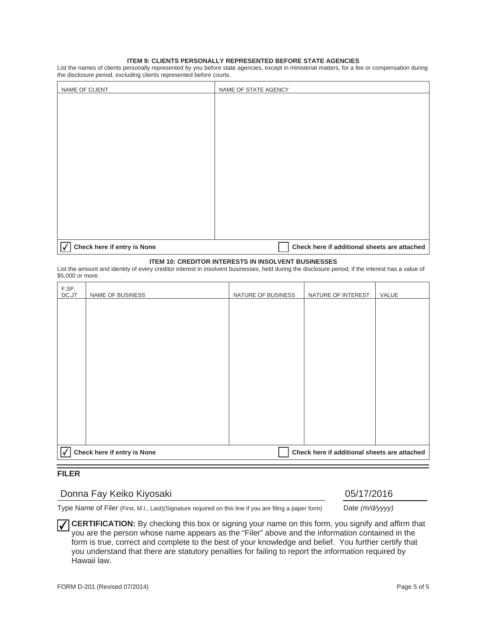#### **ITEM 9: CLIENTS PERSONALLY REPRESENTED BEFORE STATE AGENCIES**

List the names of clients personally represented by you before state agencies, except in ministerial matters, for a fee or compensation during the disclosure period, excluding clients represented before courts.

| NAME OF CLIENT                                   | NAME OF STATE AGENCY                         |
|--------------------------------------------------|----------------------------------------------|
|                                                  |                                              |
|                                                  |                                              |
|                                                  |                                              |
|                                                  |                                              |
|                                                  |                                              |
|                                                  |                                              |
|                                                  |                                              |
|                                                  |                                              |
|                                                  |                                              |
|                                                  |                                              |
|                                                  |                                              |
|                                                  |                                              |
|                                                  |                                              |
|                                                  |                                              |
| $\sqrt{\phantom{a}}$ Check here if entry is None | Check here if additional sheets are attached |

#### **ITEM 10: CREDITOR INTERESTS IN INSOLVENT BUSINESSES**

List the amount and identity of every creditor interest in insolvent businesses, held during the disclosure period, if the interest has a value of \$5,000 or more.

| F,SP,<br>DC,JT                                                                   | NAME OF BUSINESS | NATURE OF BUSINESS | NATURE OF INTEREST | VALUE |
|----------------------------------------------------------------------------------|------------------|--------------------|--------------------|-------|
|                                                                                  |                  |                    |                    |       |
|                                                                                  |                  |                    |                    |       |
|                                                                                  |                  |                    |                    |       |
|                                                                                  |                  |                    |                    |       |
|                                                                                  |                  |                    |                    |       |
|                                                                                  |                  |                    |                    |       |
|                                                                                  |                  |                    |                    |       |
|                                                                                  |                  |                    |                    |       |
|                                                                                  |                  |                    |                    |       |
|                                                                                  |                  |                    |                    |       |
| Check here if entry is None<br>Check here if additional sheets are attached<br>√ |                  |                    |                    |       |

## **FILER**

# Donna Fay Keiko Kiyosaki **1988 - 1988 1998 105/17/2016** 105/17/2016

Type Name of Filer (First, M.I., Last)(Signature required on this line if you are filing a paper form) Date *(m/d/yyyy)*

**CERTIFICATION:** By checking this box or signing your name on this form, you signify and affirm that you are the person whose name appears as the "Filer" above and the information contained in the form is true, correct and complete to the best of your knowledge and belief. You further certify that you understand that there are statutory penalties for failing to report the information required by Hawaii law.  $\boldsymbol{V}$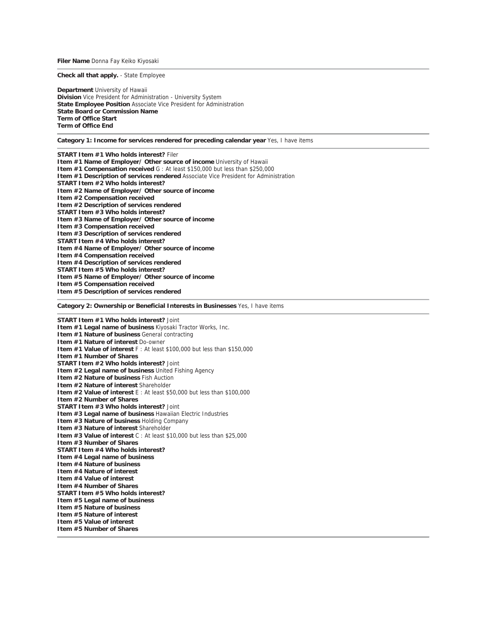**Filer Name** Donna Fay Keiko Kiyosaki

**Check all that apply.** - State Employee

**Department** University of Hawaii **Division** Vice President for Administration - University System **State Employee Position** Associate Vice President for Administration **State Board or Commission Name Term of Office Start Term of Office End**

**Category 1: Income for services rendered for preceding calendar year** Yes, I have items

**START Item #1 Who holds interest?** Filer **Item #1 Name of Employer/ Other source of income** University of Hawaii **Item #1 Compensation received** G : At least \$150,000 but less than \$250,000 **Item #1 Description of services rendered** Associate Vice President for Administration **START Item #2 Who holds interest? Item #2 Name of Employer/ Other source of income Item #2 Compensation received Item #2 Description of services rendered START Item #3 Who holds interest? Item #3 Name of Employer/ Other source of income Item #3 Compensation received Item #3 Description of services rendered START Item #4 Who holds interest? Item #4 Name of Employer/ Other source of income Item #4 Compensation received Item #4 Description of services rendered START Item #5 Who holds interest? Item #5 Name of Employer/ Other source of income Item #5 Compensation received Item #5 Description of services rendered**

**Category 2: Ownership or Beneficial Interests in Businesses** Yes, I have items

**START Item #1 Who holds interest?** Joint **Item #1 Legal name of business** Kiyosaki Tractor Works, Inc. **Item #1 Nature of business** General contracting **Item #1 Nature of interest** Do-owner **Item #1 Value of interest** F : At least \$100,000 but less than \$150,000 **Item #1 Number of Shares START Item #2 Who holds interest?** Joint **Item #2 Legal name of business** United Fishing Agency **Item #2 Nature of business** Fish Auction **Item #2 Nature of interest** Shareholder **Item #2 Value of interest** E : At least \$50,000 but less than \$100,000 **Item #2 Number of Shares START Item #3 Who holds interest?** Joint **Item #3 Legal name of business** Hawaiian Electric Industries **Item #3 Nature of business** Holding Company **Item #3 Nature of interest** Shareholder **Item #3 Value of interest** C : At least \$10,000 but less than \$25,000 **Item #3 Number of Shares START Item #4 Who holds interest? Item #4 Legal name of business Item #4 Nature of business Item #4 Nature of interest Item #4 Value of interest Item #4 Number of Shares START Item #5 Who holds interest? Item #5 Legal name of business Item #5 Nature of business Item #5 Nature of interest Item #5 Value of interest Item #5 Number of Shares**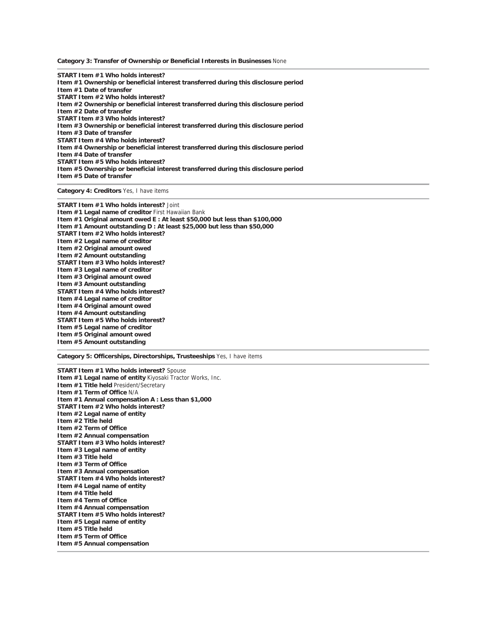**Category 3: Transfer of Ownership or Beneficial Interests in Businesses** None

**START Item #1 Who holds interest? Item #1 Ownership or beneficial interest transferred during this disclosure period Item #1 Date of transfer START Item #2 Who holds interest? Item #2 Ownership or beneficial interest transferred during this disclosure period Item #2 Date of transfer START Item #3 Who holds interest? Item #3 Ownership or beneficial interest transferred during this disclosure period Item #3 Date of transfer START Item #4 Who holds interest? Item #4 Ownership or beneficial interest transferred during this disclosure period Item #4 Date of transfer START Item #5 Who holds interest? Item #5 Ownership or beneficial interest transferred during this disclosure period Item #5 Date of transfer**

**Category 4: Creditors** Yes, I have items

**START Item #1 Who holds interest?** Joint **Item #1 Legal name of creditor** First Hawaiian Bank **Item #1 Original amount owed E : At least \$50,000 but less than \$100,000 Item #1 Amount outstanding D : At least \$25,000 but less than \$50,000 START Item #2 Who holds interest? Item #2 Legal name of creditor Item #2 Original amount owed Item #2 Amount outstanding START Item #3 Who holds interest? Item #3 Legal name of creditor Item #3 Original amount owed Item #3 Amount outstanding START Item #4 Who holds interest? Item #4 Legal name of creditor Item #4 Original amount owed Item #4 Amount outstanding START Item #5 Who holds interest? Item #5 Legal name of creditor Item #5 Original amount owed Item #5 Amount outstanding** 

**Category 5: Officerships, Directorships, Trusteeships** Yes, I have items

**START Item #1 Who holds interest?** Spouse **Item #1 Legal name of entity** Kiyosaki Tractor Works, Inc. **Item #1 Title held** President/Secretary **Item #1 Term of Office** N/A **Item #1 Annual compensation A : Less than \$1,000 START Item #2 Who holds interest? Item #2 Legal name of entity Item #2 Title held Item #2 Term of Office Item #2 Annual compensation START Item #3 Who holds interest? Item #3 Legal name of entity Item #3 Title held Item #3 Term of Office Item #3 Annual compensation START Item #4 Who holds interest? Item #4 Legal name of entity Item #4 Title held Item #4 Term of Office Item #4 Annual compensation START Item #5 Who holds interest? Item #5 Legal name of entity Item #5 Title held Item #5 Term of Office Item #5 Annual compensation**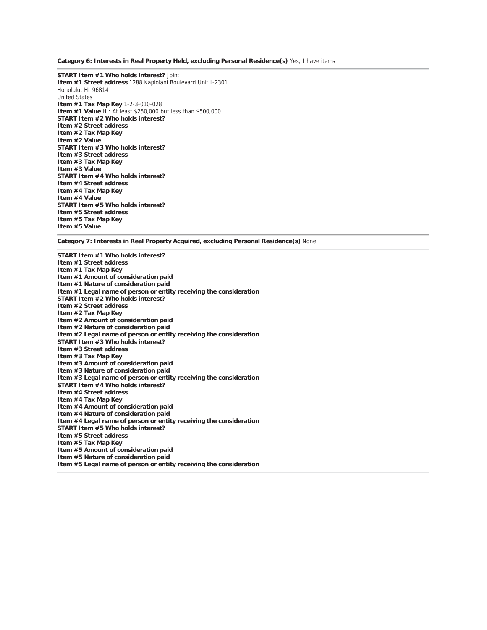**Category 6: Interests in Real Property Held, excluding Personal Residence(s)** Yes, I have items

**START Item #1 Who holds interest?** Joint **Item #1 Street address** 1288 Kapiolani Boulevard Unit I-2301 Honolulu, HI 96814 United States **Item #1 Tax Map Key** 1-2-3-010-028 **Item #1 Value** H : At least \$250,000 but less than \$500,000 **START Item #2 Who holds interest? Item #2 Street address Item #2 Tax Map Key Item #2 Value START Item #3 Who holds interest? Item #3 Street address Item #3 Tax Map Key Item #3 Value START Item #4 Who holds interest? Item #4 Street address Item #4 Tax Map Key Item #4 Value START Item #5 Who holds interest? Item #5 Street address Item #5 Tax Map Key Item #5 Value**

**Category 7: Interests in Real Property Acquired, excluding Personal Residence(s)** None

**START Item #1 Who holds interest? Item #1 Street address Item #1 Tax Map Key Item #1 Amount of consideration paid Item #1 Nature of consideration paid Item #1 Legal name of person or entity receiving the consideration START Item #2 Who holds interest? Item #2 Street address Item #2 Tax Map Key Item #2 Amount of consideration paid Item #2 Nature of consideration paid Item #2 Legal name of person or entity receiving the consideration START Item #3 Who holds interest? Item #3 Street address Item #3 Tax Map Key Item #3 Amount of consideration paid Item #3 Nature of consideration paid Item #3 Legal name of person or entity receiving the consideration START Item #4 Who holds interest? Item #4 Street address Item #4 Tax Map Key Item #4 Amount of consideration paid Item #4 Nature of consideration paid Item #4 Legal name of person or entity receiving the consideration START Item #5 Who holds interest? Item #5 Street address Item #5 Tax Map Key Item #5 Amount of consideration paid Item #5 Nature of consideration paid Item #5 Legal name of person or entity receiving the consideration**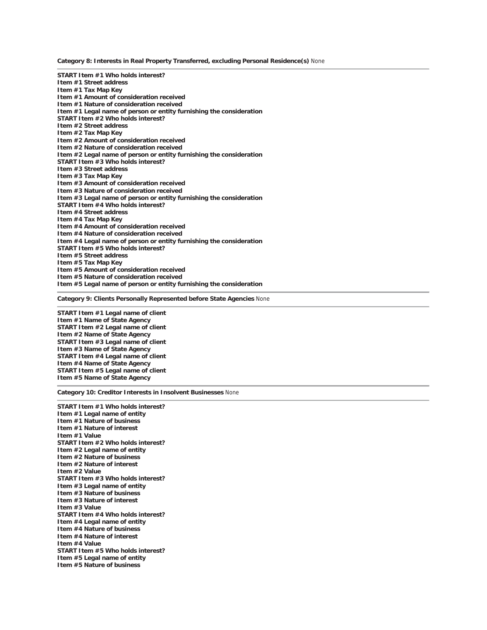**Category 8: Interests in Real Property Transferred, excluding Personal Residence(s)** None

**START Item #1 Who holds interest? Item #1 Street address Item #1 Tax Map Key Item #1 Amount of consideration received Item #1 Nature of consideration received Item #1 Legal name of person or entity furnishing the consideration START Item #2 Who holds interest? Item #2 Street address Item #2 Tax Map Key Item #2 Amount of consideration received Item #2 Nature of consideration received Item #2 Legal name of person or entity furnishing the consideration START Item #3 Who holds interest? Item #3 Street address Item #3 Tax Map Key Item #3 Amount of consideration received Item #3 Nature of consideration received Item #3 Legal name of person or entity furnishing the consideration START Item #4 Who holds interest? Item #4 Street address Item #4 Tax Map Key Item #4 Amount of consideration received Item #4 Nature of consideration received Item #4 Legal name of person or entity furnishing the consideration START Item #5 Who holds interest? Item #5 Street address Item #5 Tax Map Key Item #5 Amount of consideration received Item #5 Nature of consideration received Item #5 Legal name of person or entity furnishing the consideration**

**Category 9: Clients Personally Represented before State Agencies** None

**START Item #1 Legal name of client Item #1 Name of State Agency START Item #2 Legal name of client Item #2 Name of State Agency START Item #3 Legal name of client Item #3 Name of State Agency START Item #4 Legal name of client Item #4 Name of State Agency START Item #5 Legal name of client Item #5 Name of State Agency**

**Category 10: Creditor Interests in Insolvent Businesses** None

**START Item #1 Who holds interest? Item #1 Legal name of entity Item #1 Nature of business Item #1 Nature of interest Item #1 Value START Item #2 Who holds interest? Item #2 Legal name of entity Item #2 Nature of business Item #2 Nature of interest Item #2 Value START Item #3 Who holds interest? Item #3 Legal name of entity Item #3 Nature of business Item #3 Nature of interest Item #3 Value START Item #4 Who holds interest? Item #4 Legal name of entity Item #4 Nature of business Item #4 Nature of interest Item #4 Value START Item #5 Who holds interest? Item #5 Legal name of entity Item #5 Nature of business**